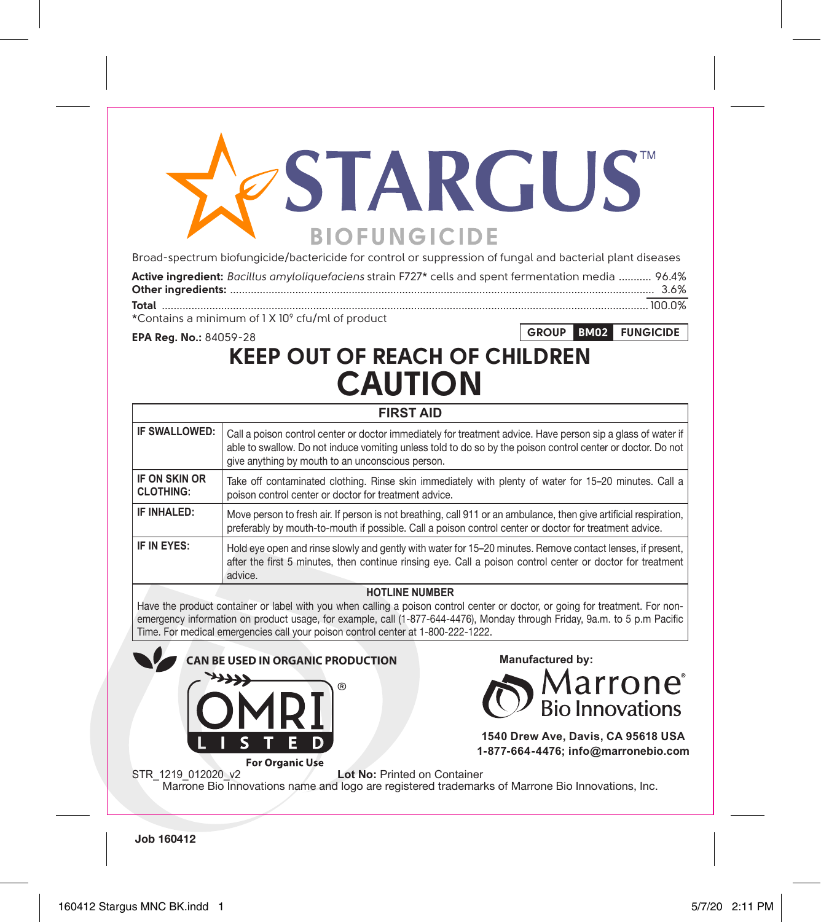# **STARGUS BIOFUNGICIDE**

Broad-spectrum biofungicide/bactericide for control or suppression of fungal and bacterial plant diseases

| Active ingredient: Bacillus amyloliquefaciens strain F727* cells and spent fermentation media  96.4% |  |
|------------------------------------------------------------------------------------------------------|--|
|                                                                                                      |  |
|                                                                                                      |  |

**GROUP BM02 FUNGICIDE**

\*Contains a minimum of 1 X 109 cfu/ml of product

**EPA Reg. No.:** 84059-28

## **KEEP OUT OF REACH OF CHILDREN CAUTION**

| <b>FIRST AID</b>                  |                                                                                                                                                                                                                                                                                 |  |  |  |
|-----------------------------------|---------------------------------------------------------------------------------------------------------------------------------------------------------------------------------------------------------------------------------------------------------------------------------|--|--|--|
| IF SWALLOWED:                     | Call a poison control center or doctor immediately for treatment advice. Have person sip a glass of water if<br>able to swallow. Do not induce vomiting unless told to do so by the poison control center or doctor. Do not<br>give anything by mouth to an unconscious person. |  |  |  |
| IF ON SKIN OR<br><b>CLOTHING:</b> | Take off contaminated clothing. Rinse skin immediately with plenty of water for 15–20 minutes. Call a<br>poison control center or doctor for treatment advice.                                                                                                                  |  |  |  |
| IF INHAI FD:                      | Move person to fresh air. If person is not breathing, call 911 or an ambulance, then give artificial respiration,<br>preferably by mouth-to-mouth if possible. Call a poison control center or doctor for treatment advice.                                                     |  |  |  |
| IF IN EYES:                       | Hold eye open and rinse slowly and gently with water for 15–20 minutes. Remove contact lenses, if present,<br>after the first 5 minutes, then continue rinsing eye. Call a poison control center or doctor for treatment<br>advice.                                             |  |  |  |

#### **HOTLINE NUMBER**

Have the product container or label with you when calling a poison control center or doctor, or going for treatment. For nonemergency information on product usage, for example, call (1-877-644-4476), Monday through Friday, 9a.m. to 5 p.m Pacific Time. For medical emergencies call your poison control center at 1-800-222-1222.



**Job 160412**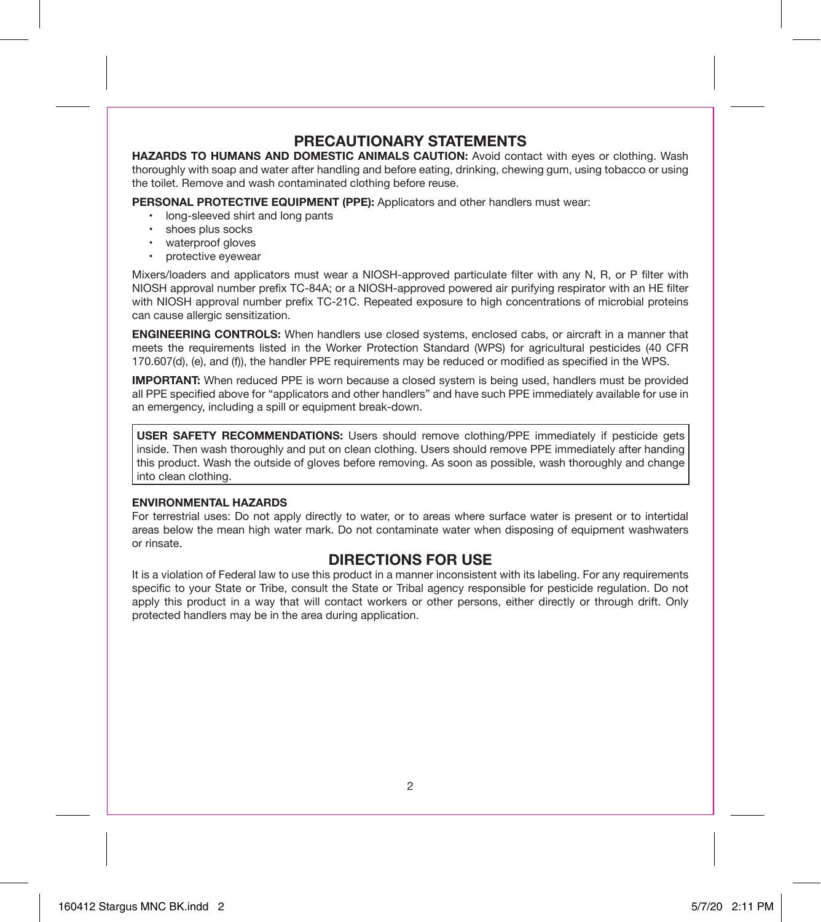#### **PRECAUTIONARY STATEMENTS**

**HAZARDS TO HUMANS AND DOMESTIC ANIMALS CAUTION:** Avoid contact with eyes or clothing. Wash thoroughly with soap and water after handling and before eating, drinking, chewing gum, using tobacco or using the toilet. Remove and wash contaminated clothing before reuse.

**PERSONAL PROTECTIVE EQUIPMENT (PPE):** Applicators and other handlers must wear:

- long-sleeved shirt and long pants
- shoes plus socks
- waterproof gloves
- protective eyewear

Mixers/loaders and applicators must wear a NIOSH-approved particulate filter with any N, R, or P filter with NIOSH approval number prefix TC-84A; or a NIOSH-approved powered air purifying respirator with an HE filter with NIOSH approval number prefix TC-21C. Repeated exposure to high concentrations of microbial proteins can cause allergic sensitization.

**ENGINEERING CONTROLS:** When handlers use closed systems, enclosed cabs, or aircraft in a manner that meets the requirements listed in the Worker Protection Standard (WPS) for agricultural pesticides (40 CFR 170.607(d), (e), and (f)), the handler PPE requirements may be reduced or modified as specified in the WPS.

**IMPORTANT:** When reduced PPE is worn because a closed system is being used, handlers must be provided all PPE specified above for "applicators and other handlers" and have such PPE immediately available for use in an emergency, including a spill or equipment break-down.

**USER SAFETY RECOMMENDATIONS:** Users should remove clothing/PPE immediately if pesticide gets inside. Then wash thoroughly and put on clean clothing. Users should remove PPE immediately after handing this product. Wash the outside of gloves before removing. As soon as possible, wash thoroughly and change into clean clothing.

#### **ENVIRONMENTAL HAZARDS**

For terrestrial uses: Do not apply directly to water, or to areas where surface water is present or to intertidal areas below the mean high water mark. Do not contaminate water when disposing of equipment washwaters or rinsate.

#### **DIRECTIONS FOR USE**

It is a violation of Federal law to use this product in a manner inconsistent with its labeling. For any requirements specific to your State or Tribe, consult the State or Tribal agency responsible for pesticide regulation. Do not apply this product in a way that will contact workers or other persons, either directly or through drift. Only protected handlers may be in the area during application.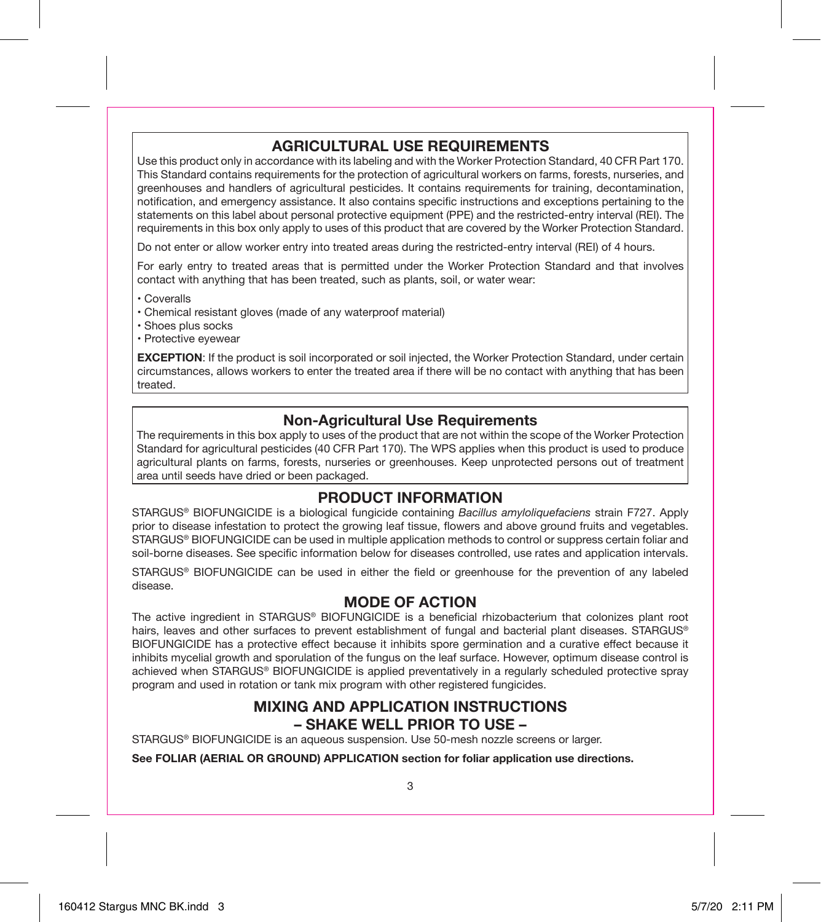#### **AGRICULTURAL USE REQUIREMENTS**

Use this product only in accordance with its labeling and with the Worker Protection Standard, 40 CFR Part 170. This Standard contains requirements for the protection of agricultural workers on farms, forests, nurseries, and greenhouses and handlers of agricultural pesticides. It contains requirements for training, decontamination, notification, and emergency assistance. It also contains specific instructions and exceptions pertaining to the statements on this label about personal protective equipment (PPE) and the restricted-entry interval (REI). The requirements in this box only apply to uses of this product that are covered by the Worker Protection Standard.

Do not enter or allow worker entry into treated areas during the restricted-entry interval (REI) of 4 hours.

For early entry to treated areas that is permitted under the Worker Protection Standard and that involves contact with anything that has been treated, such as plants, soil, or water wear:

• Coveralls

- Chemical resistant gloves (made of any waterproof material)
- Shoes plus socks
- Protective eyewear

**EXCEPTION**: If the product is soil incorporated or soil injected, the Worker Protection Standard, under certain circumstances, allows workers to enter the treated area if there will be no contact with anything that has been treated.

#### **Non-Agricultural Use Requirements**

The requirements in this box apply to uses of the product that are not within the scope of the Worker Protection Standard for agricultural pesticides (40 CFR Part 170). The WPS applies when this product is used to produce agricultural plants on farms, forests, nurseries or greenhouses. Keep unprotected persons out of treatment area until seeds have dried or been packaged.

#### **PRODUCT INFORMATION**

STARGUS® BIOFUNGICIDE is a biological fungicide containing *Bacillus amyloliquefaciens* strain F727. Apply prior to disease infestation to protect the growing leaf tissue, flowers and above ground fruits and vegetables. STARGUS® BIOFUNGICIDE can be used in multiple application methods to control or suppress certain foliar and soil-borne diseases. See specific information below for diseases controlled, use rates and application intervals.

STARGUS® BIOFUNGICIDE can be used in either the field or greenhouse for the prevention of any labeled disease.

#### **MODE OF ACTION**

The active ingredient in STARGUS® BIOFUNGICIDE is a beneficial rhizobacterium that colonizes plant root hairs, leaves and other surfaces to prevent establishment of fungal and bacterial plant diseases. STARGUS® BIOFUNGICIDE has a protective effect because it inhibits spore germination and a curative effect because it inhibits mycelial growth and sporulation of the fungus on the leaf surface. However, optimum disease control is achieved when STARGUS® BIOFUNGICIDE is applied preventatively in a regularly scheduled protective spray program and used in rotation or tank mix program with other registered fungicides.

#### **MIXING AND APPLICATION INSTRUCTIONS – SHAKE WELL PRIOR TO USE –**

STARGUS® BIOFUNGICIDE is an aqueous suspension. Use 50-mesh nozzle screens or larger.

**See FOLIAR (AERIAL OR GROUND) APPLICATION section for foliar application use directions.**

3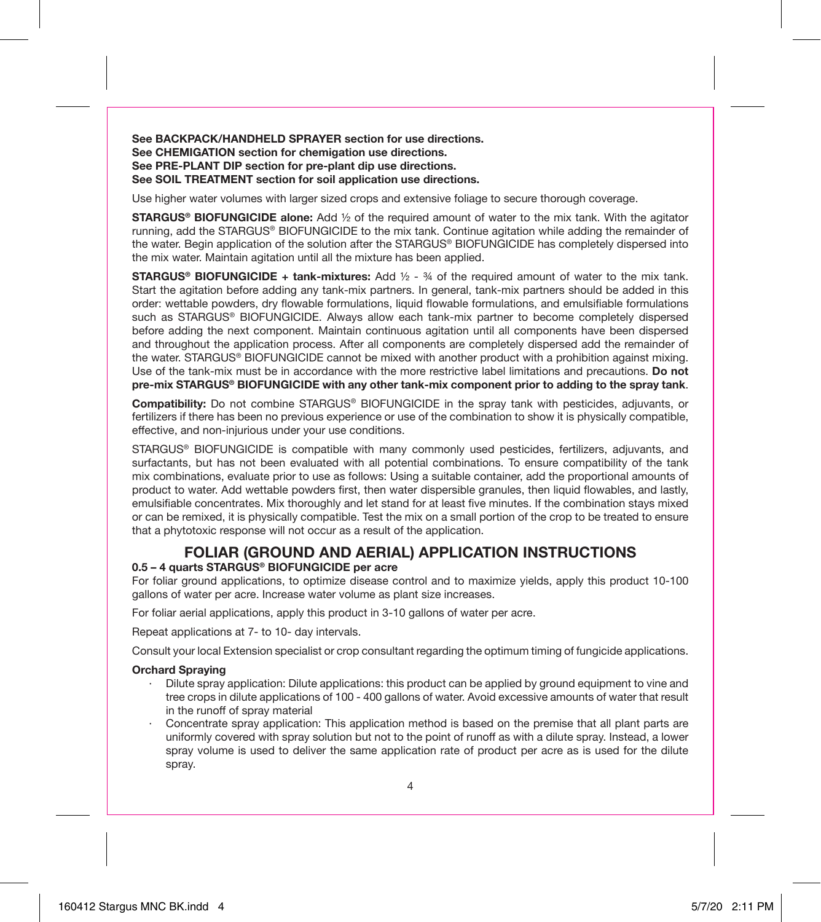**See BACKPACK/HANDHELD SPRAYER section for use directions. See CHEMIGATION section for chemigation use directions. See PRE-PLANT DIP section for pre-plant dip use directions. See SOIL TREATMENT section for soil application use directions.**

Use higher water volumes with larger sized crops and extensive foliage to secure thorough coverage.

**STARGUS® BIOFUNGICIDE alone:** Add ½ of the required amount of water to the mix tank. With the agitator running, add the STARGUS® BIOFUNGICIDE to the mix tank. Continue agitation while adding the remainder of the water. Begin application of the solution after the STARGUS® BIOFUNGICIDE has completely dispersed into the mix water. Maintain agitation until all the mixture has been applied.

**STARGUS® BIOFUNGICIDE + tank-mixtures:** Add ½ - ¾ of the required amount of water to the mix tank. Start the agitation before adding any tank-mix partners. In general, tank-mix partners should be added in this order: wettable powders, dry flowable formulations, liquid flowable formulations, and emulsifiable formulations such as STARGUS® BIOFUNGICIDE. Always allow each tank-mix partner to become completely dispersed before adding the next component. Maintain continuous agitation until all components have been dispersed and throughout the application process. After all components are completely dispersed add the remainder of the water. STARGUS® BIOFUNGICIDE cannot be mixed with another product with a prohibition against mixing. Use of the tank-mix must be in accordance with the more restrictive label limitations and precautions. **Do not pre-mix STARGUS® BIOFUNGICIDE with any other tank-mix component prior to adding to the spray tank**.

**Compatibility:** Do not combine STARGUS® BIOFUNGICIDE in the spray tank with pesticides, adjuvants, or fertilizers if there has been no previous experience or use of the combination to show it is physically compatible, effective, and non-injurious under your use conditions.

STARGUS® BIOFUNGICIDE is compatible with many commonly used pesticides, fertilizers, adjuvants, and surfactants, but has not been evaluated with all potential combinations. To ensure compatibility of the tank mix combinations, evaluate prior to use as follows: Using a suitable container, add the proportional amounts of product to water. Add wettable powders first, then water dispersible granules, then liquid flowables, and lastly, emulsifiable concentrates. Mix thoroughly and let stand for at least five minutes. If the combination stays mixed or can be remixed, it is physically compatible. Test the mix on a small portion of the crop to be treated to ensure that a phytotoxic response will not occur as a result of the application.

#### **FOLIAR (GROUND AND AERIAL) APPLICATION INSTRUCTIONS 0.5 – 4 quarts STARGUS® BIOFUNGICIDE per acre**

For foliar ground applications, to optimize disease control and to maximize yields, apply this product 10-100 gallons of water per acre. Increase water volume as plant size increases.

For foliar aerial applications, apply this product in 3-10 gallons of water per acre.

Repeat applications at 7- to 10- day intervals.

Consult your local Extension specialist or crop consultant regarding the optimum timing of fungicide applications.

#### **Orchard Spraying**

- · Dilute spray application: Dilute applications: this product can be applied by ground equipment to vine and tree crops in dilute applications of 100 - 400 gallons of water. Avoid excessive amounts of water that result in the runoff of spray material
- Concentrate spray application: This application method is based on the premise that all plant parts are uniformly covered with spray solution but not to the point of runoff as with a dilute spray. Instead, a lower spray volume is used to deliver the same application rate of product per acre as is used for the dilute spray.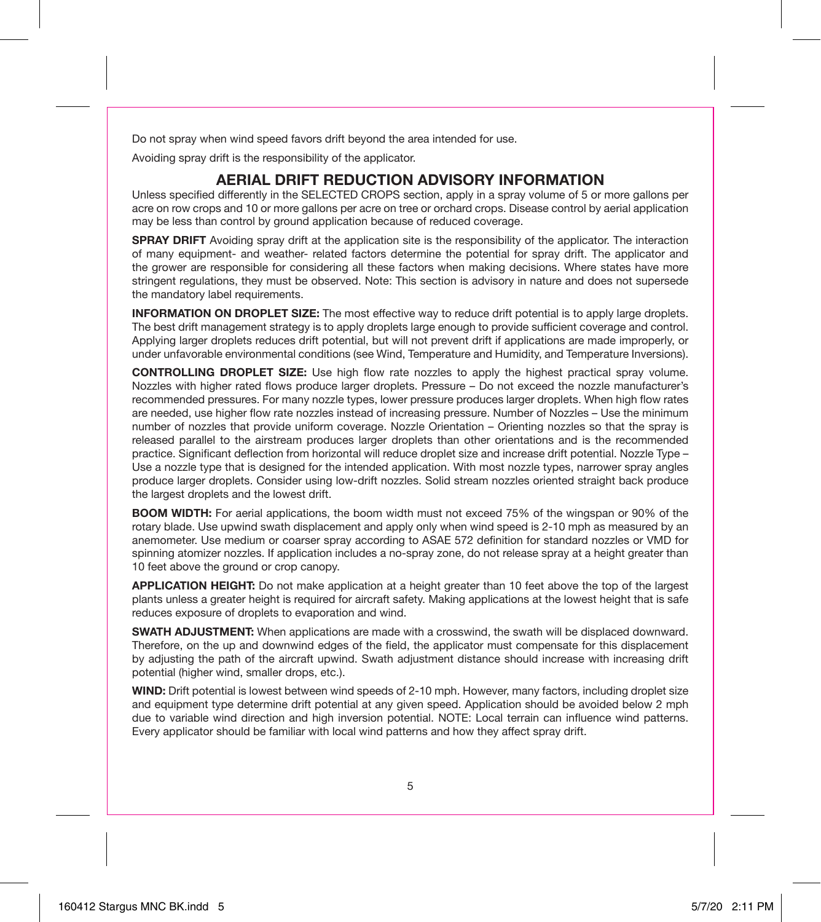Do not spray when wind speed favors drift beyond the area intended for use.

Avoiding spray drift is the responsibility of the applicator.

#### **AERIAL DRIFT REDUCTION ADVISORY INFORMATION**

Unless specified differently in the SELECTED CROPS section, apply in a spray volume of 5 or more gallons per acre on row crops and 10 or more gallons per acre on tree or orchard crops. Disease control by aerial application may be less than control by ground application because of reduced coverage.

**SPRAY DRIFT** Avoiding spray drift at the application site is the responsibility of the applicator. The interaction of many equipment- and weather- related factors determine the potential for spray drift. The applicator and the grower are responsible for considering all these factors when making decisions. Where states have more stringent regulations, they must be observed. Note: This section is advisory in nature and does not supersede the mandatory label requirements.

**INFORMATION ON DROPLET SIZE:** The most effective way to reduce drift potential is to apply large droplets. The best drift management strategy is to apply droplets large enough to provide sufficient coverage and control. Applying larger droplets reduces drift potential, but will not prevent drift if applications are made improperly, or under unfavorable environmental conditions (see Wind, Temperature and Humidity, and Temperature Inversions).

**CONTROLLING DROPLET SIZE:** Use high flow rate nozzles to apply the highest practical spray volume. Nozzles with higher rated flows produce larger droplets. Pressure – Do not exceed the nozzle manufacturer's recommended pressures. For many nozzle types, lower pressure produces larger droplets. When high flow rates are needed, use higher flow rate nozzles instead of increasing pressure. Number of Nozzles – Use the minimum number of nozzles that provide uniform coverage. Nozzle Orientation – Orienting nozzles so that the spray is released parallel to the airstream produces larger droplets than other orientations and is the recommended practice. Significant deflection from horizontal will reduce droplet size and increase drift potential. Nozzle Type – Use a nozzle type that is designed for the intended application. With most nozzle types, narrower spray angles produce larger droplets. Consider using low-drift nozzles. Solid stream nozzles oriented straight back produce the largest droplets and the lowest drift.

**BOOM WIDTH:** For aerial applications, the boom width must not exceed 75% of the wingspan or 90% of the rotary blade. Use upwind swath displacement and apply only when wind speed is 2-10 mph as measured by an anemometer. Use medium or coarser spray according to ASAE 572 definition for standard nozzles or VMD for spinning atomizer nozzles. If application includes a no-spray zone, do not release spray at a height greater than 10 feet above the ground or crop canopy.

**APPLICATION HEIGHT:** Do not make application at a height greater than 10 feet above the top of the largest plants unless a greater height is required for aircraft safety. Making applications at the lowest height that is safe reduces exposure of droplets to evaporation and wind.

**SWATH ADJUSTMENT:** When applications are made with a crosswind, the swath will be displaced downward. Therefore, on the up and downwind edges of the field, the applicator must compensate for this displacement by adjusting the path of the aircraft upwind. Swath adjustment distance should increase with increasing drift potential (higher wind, smaller drops, etc.).

**WIND:** Drift potential is lowest between wind speeds of 2-10 mph. However, many factors, including droplet size and equipment type determine drift potential at any given speed. Application should be avoided below 2 mph due to variable wind direction and high inversion potential. NOTE: Local terrain can influence wind patterns. Every applicator should be familiar with local wind patterns and how they affect spray drift.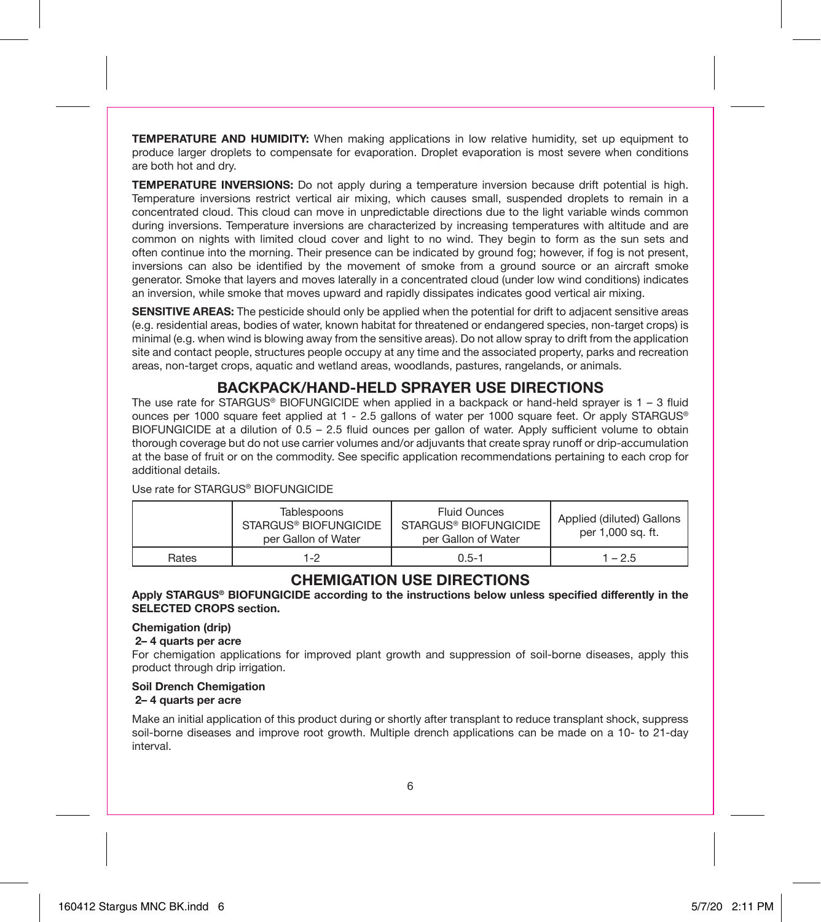**TEMPERATURE AND HUMIDITY:** When making applications in low relative humidity, set up equipment to produce larger droplets to compensate for evaporation. Droplet evaporation is most severe when conditions are both hot and dry.

**TEMPERATURE INVERSIONS:** Do not apply during a temperature inversion because drift potential is high. Temperature inversions restrict vertical air mixing, which causes small, suspended droplets to remain in a concentrated cloud. This cloud can move in unpredictable directions due to the light variable winds common during inversions. Temperature inversions are characterized by increasing temperatures with altitude and are common on nights with limited cloud cover and light to no wind. They begin to form as the sun sets and often continue into the morning. Their presence can be indicated by ground fog; however, if fog is not present, inversions can also be identified by the movement of smoke from a ground source or an aircraft smoke generator. Smoke that layers and moves laterally in a concentrated cloud (under low wind conditions) indicates an inversion, while smoke that moves upward and rapidly dissipates indicates good vertical air mixing.

**SENSITIVE AREAS:** The pesticide should only be applied when the potential for drift to adjacent sensitive areas (e.g. residential areas, bodies of water, known habitat for threatened or endangered species, non-target crops) is minimal (e.g. when wind is blowing away from the sensitive areas). Do not allow spray to drift from the application site and contact people, structures people occupy at any time and the associated property, parks and recreation areas, non-target crops, aquatic and wetland areas, woodlands, pastures, rangelands, or animals.

#### **BACKPACK/HAND-HELD SPRAYER USE DIRECTIONS**

The use rate for STARGUS<sup>®</sup> BIOFUNGICIDE when applied in a backpack or hand-held sprayer is  $1 - 3$  fluid ounces per 1000 square feet applied at 1 - 2.5 gallons of water per 1000 square feet. Or apply STARGUS® BIOFUNGICIDE at a dilution of 0.5 – 2.5 fluid ounces per gallon of water. Apply sufficient volume to obtain thorough coverage but do not use carrier volumes and/or adjuvants that create spray runoff or drip-accumulation at the base of fruit or on the commodity. See specific application recommendations pertaining to each crop for additional details.

Use rate for STARGUS® BIOFUNGICIDE

| Tablespoons<br>STARGUS® BIOFUNGICIDE<br>per Gallon of Water |  | Fluid Ounces<br>STARGUS® BIOFUNGICIDE<br>per Gallon of Water | Applied (diluted) Gallons<br>per 1,000 sq. ft. |  |
|-------------------------------------------------------------|--|--------------------------------------------------------------|------------------------------------------------|--|
| Rates<br>1-2                                                |  | $0.5 - 1$                                                    | $1 - 2.5$                                      |  |

#### **CHEMIGATION USE DIRECTIONS**

**Apply STARGUS® BIOFUNGICIDE according to the instructions below unless specified differently in the SELECTED CROPS section.**

#### **Chemigation (drip)**

#### **2– 4 quarts per acre**

For chemigation applications for improved plant growth and suppression of soil-borne diseases, apply this product through drip irrigation.

#### **Soil Drench Chemigation**

#### **2– 4 quarts per acre**

Make an initial application of this product during or shortly after transplant to reduce transplant shock, suppress soil-borne diseases and improve root growth. Multiple drench applications can be made on a 10- to 21-day interval.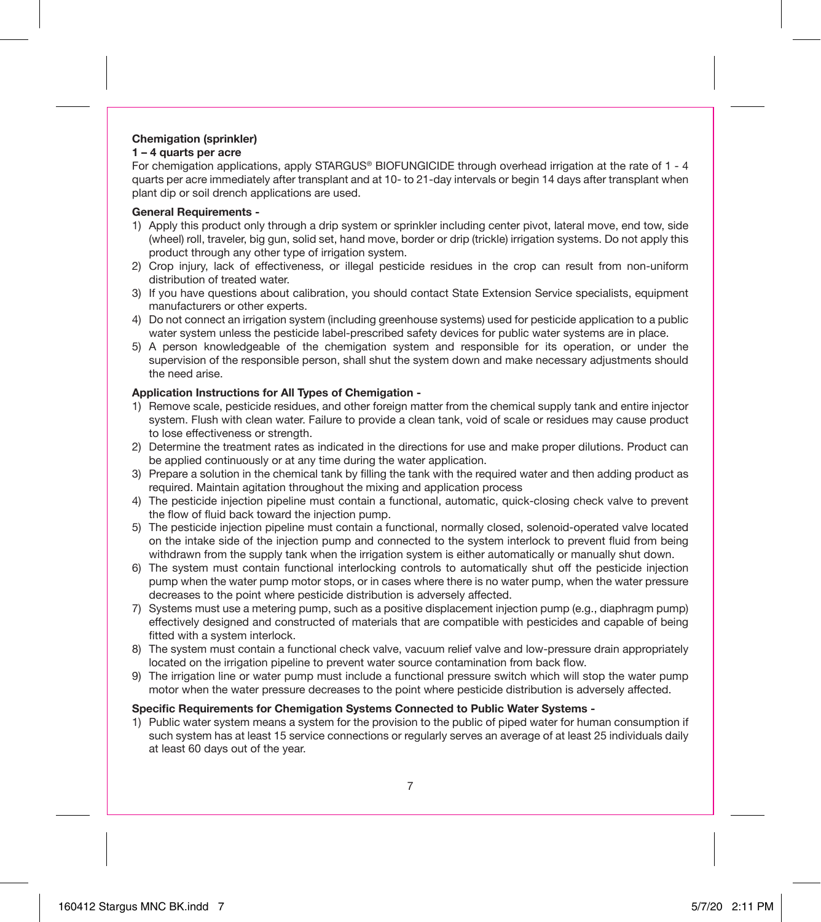### **Chemigation (sprinkler)**

**1 – 4 quarts per acre**

For chemigation applications, apply STARGUS® BIOFUNGICIDE through overhead irrigation at the rate of 1 - 4 quarts per acre immediately after transplant and at 10- to 21-day intervals or begin 14 days after transplant when plant dip or soil drench applications are used.

#### **General Requirements -**

- 1) Apply this product only through a drip system or sprinkler including center pivot, lateral move, end tow, side (wheel) roll, traveler, big gun, solid set, hand move, border or drip (trickle) irrigation systems. Do not apply this product through any other type of irrigation system.
- 2) Crop injury, lack of effectiveness, or illegal pesticide residues in the crop can result from non-uniform distribution of treated water.
- 3) If you have questions about calibration, you should contact State Extension Service specialists, equipment manufacturers or other experts.
- 4) Do not connect an irrigation system (including greenhouse systems) used for pesticide application to a public water system unless the pesticide label-prescribed safety devices for public water systems are in place.
- 5) A person knowledgeable of the chemigation system and responsible for its operation, or under the supervision of the responsible person, shall shut the system down and make necessary adjustments should the need arise.

#### **Application Instructions for All Types of Chemigation -**

- 1) Remove scale, pesticide residues, and other foreign matter from the chemical supply tank and entire injector system. Flush with clean water. Failure to provide a clean tank, void of scale or residues may cause product to lose effectiveness or strength.
- 2) Determine the treatment rates as indicated in the directions for use and make proper dilutions. Product can be applied continuously or at any time during the water application.
- 3) Prepare a solution in the chemical tank by filling the tank with the required water and then adding product as required. Maintain agitation throughout the mixing and application process
- 4) The pesticide injection pipeline must contain a functional, automatic, quick-closing check valve to prevent the flow of fluid back toward the injection pump.
- 5) The pesticide injection pipeline must contain a functional, normally closed, solenoid-operated valve located on the intake side of the injection pump and connected to the system interlock to prevent fluid from being withdrawn from the supply tank when the irrigation system is either automatically or manually shut down.
- 6) The system must contain functional interlocking controls to automatically shut off the pesticide injection pump when the water pump motor stops, or in cases where there is no water pump, when the water pressure decreases to the point where pesticide distribution is adversely affected.
- 7) Systems must use a metering pump, such as a positive displacement injection pump (e.g., diaphragm pump) effectively designed and constructed of materials that are compatible with pesticides and capable of being fitted with a system interlock.
- 8) The system must contain a functional check valve, vacuum relief valve and low-pressure drain appropriately located on the irrigation pipeline to prevent water source contamination from back flow.
- 9) The irrigation line or water pump must include a functional pressure switch which will stop the water pump motor when the water pressure decreases to the point where pesticide distribution is adversely affected.

#### **Specific Requirements for Chemigation Systems Connected to Public Water Systems -**

1) Public water system means a system for the provision to the public of piped water for human consumption if such system has at least 15 service connections or regularly serves an average of at least 25 individuals daily at least 60 days out of the year.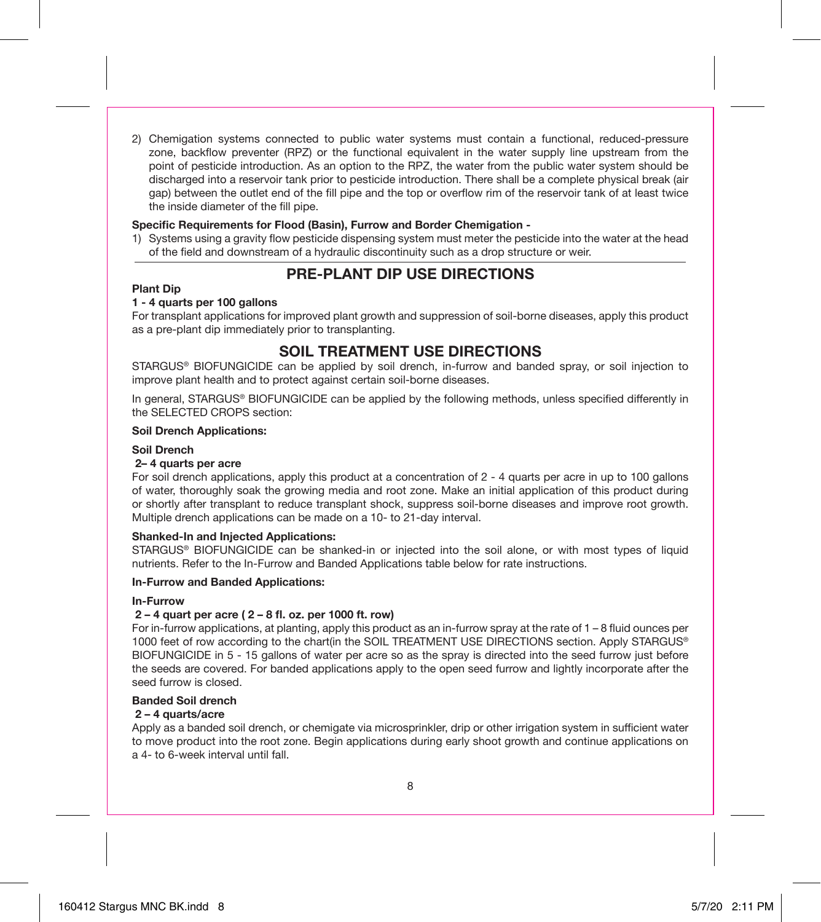2) Chemigation systems connected to public water systems must contain a functional, reduced-pressure zone, backflow preventer (RPZ) or the functional equivalent in the water supply line upstream from the point of pesticide introduction. As an option to the RPZ, the water from the public water system should be discharged into a reservoir tank prior to pesticide introduction. There shall be a complete physical break (air gap) between the outlet end of the fill pipe and the top or overflow rim of the reservoir tank of at least twice the inside diameter of the fill pipe.

#### **Specific Requirements for Flood (Basin), Furrow and Border Chemigation -**

1) Systems using a gravity flow pesticide dispensing system must meter the pesticide into the water at the head of the field and downstream of a hydraulic discontinuity such as a drop structure or weir.

#### **PRE-PLANT DIP USE DIRECTIONS**

#### **Plant Dip**

#### **1 - 4 quarts per 100 gallons**

For transplant applications for improved plant growth and suppression of soil-borne diseases, apply this product as a pre-plant dip immediately prior to transplanting.

#### **SOIL TREATMENT USE DIRECTIONS**

STARGUS® BIOFUNGICIDE can be applied by soil drench, in-furrow and banded spray, or soil injection to improve plant health and to protect against certain soil-borne diseases.

In general, STARGUS® BIOFUNGICIDE can be applied by the following methods, unless specified differently in the SELECTED CROPS section:

#### **Soil Drench Applications:**

#### **Soil Drench**

#### **2– 4 quarts per acre**

For soil drench applications, apply this product at a concentration of 2 - 4 quarts per acre in up to 100 gallons of water, thoroughly soak the growing media and root zone. Make an initial application of this product during or shortly after transplant to reduce transplant shock, suppress soil-borne diseases and improve root growth. Multiple drench applications can be made on a 10- to 21-day interval.

#### **Shanked-In and Injected Applications:**

STARGUS® BIOFUNGICIDE can be shanked-in or injected into the soil alone, or with most types of liquid nutrients. Refer to the In-Furrow and Banded Applications table below for rate instructions.

#### **In-Furrow and Banded Applications:**

#### **In-Furrow**

#### **2 – 4 quart per acre ( 2 – 8 fl. oz. per 1000 ft. row)**

For in-furrow applications, at planting, apply this product as an in-furrow spray at the rate of 1 – 8 fluid ounces per 1000 feet of row according to the chart(in the SOIL TREATMENT USE DIRECTIONS section. Apply STARGUS® BIOFUNGICIDE in 5 - 15 gallons of water per acre so as the spray is directed into the seed furrow just before the seeds are covered. For banded applications apply to the open seed furrow and lightly incorporate after the seed furrow is closed.

#### **Banded Soil drench**

#### **2 – 4 quarts/acre**

Apply as a banded soil drench, or chemigate via microsprinkler, drip or other irrigation system in sufficient water to move product into the root zone. Begin applications during early shoot growth and continue applications on a 4- to 6-week interval until fall.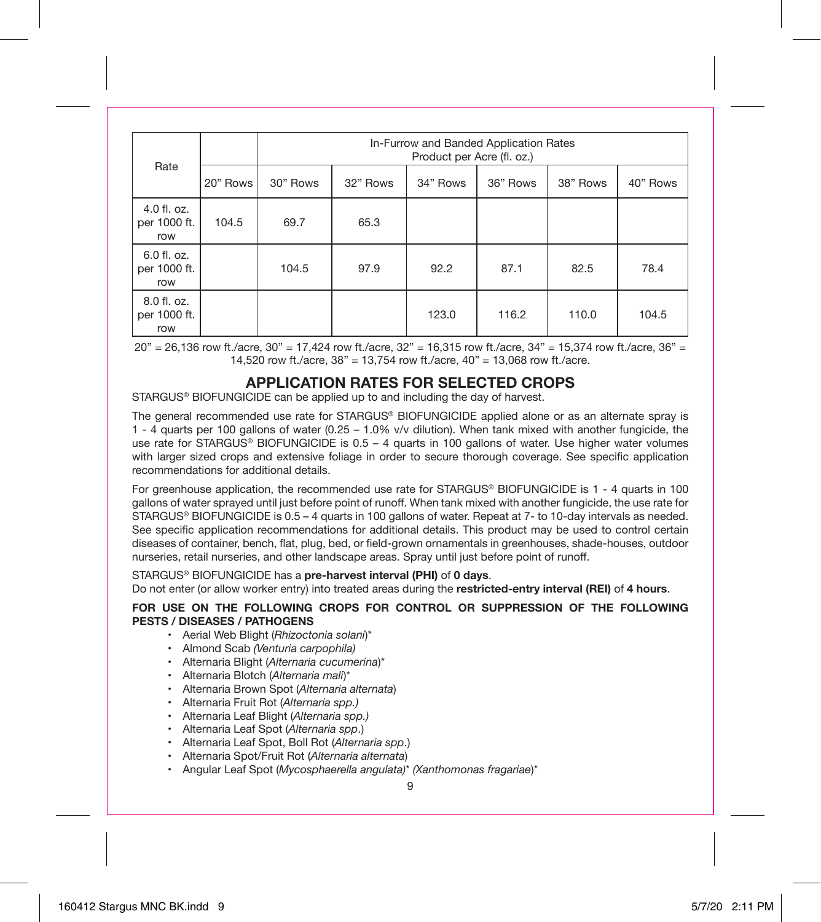| Rate                               |          | In-Furrow and Banded Application Rates<br>Product per Acre (fl. oz.) |          |          |          |          |          |
|------------------------------------|----------|----------------------------------------------------------------------|----------|----------|----------|----------|----------|
|                                    | 20" Rows | 30" Rows                                                             | 32" Rows | 34" Rows | 36" Rows | 38" Rows | 40" Rows |
| 4.0 fl. oz.<br>per 1000 ft.<br>row | 104.5    | 69.7                                                                 | 65.3     |          |          |          |          |
| 6.0 fl. oz.<br>per 1000 ft.<br>row |          | 104.5                                                                | 97.9     | 92.2     | 87.1     | 82.5     | 78.4     |
| 8.0 fl. oz.<br>per 1000 ft.<br>row |          |                                                                      |          | 123.0    | 116.2    | 110.0    | 104.5    |

20" = 26,136 row ft./acre, 30" = 17,424 row ft./acre, 32" = 16,315 row ft./acre, 34" = 15,374 row ft./acre, 36" = 14,520 row ft./acre, 38" = 13,754 row ft./acre, 40" = 13,068 row ft./acre.

#### **APPLICATION RATES FOR SELECTED CROPS**

STARGUS® BIOFUNGICIDE can be applied up to and including the day of harvest.

The general recommended use rate for STARGUS® BIOFUNGICIDE applied alone or as an alternate spray is 1 - 4 quarts per 100 gallons of water (0.25 – 1.0% v/v dilution). When tank mixed with another fungicide, the use rate for STARGUS® BIOFUNGICIDE is 0.5 - 4 quarts in 100 gallons of water. Use higher water volumes with larger sized crops and extensive foliage in order to secure thorough coverage. See specific application recommendations for additional details.

For greenhouse application, the recommended use rate for STARGUS® BIOFUNGICIDE is 1 - 4 quarts in 100 gallons of water sprayed until just before point of runoff. When tank mixed with another fungicide, the use rate for STARGUS® BIOFUNGICIDE is 0.5 – 4 quarts in 100 gallons of water. Repeat at 7- to 10-day intervals as needed. See specific application recommendations for additional details. This product may be used to control certain diseases of container, bench, flat, plug, bed, or field-grown ornamentals in greenhouses, shade-houses, outdoor nurseries, retail nurseries, and other landscape areas. Spray until just before point of runoff.

STARGUS® BIOFUNGICIDE has a **pre-harvest interval (PHI)** of **0 days**.

Do not enter (or allow worker entry) into treated areas during the **restricted-entry interval (REI)** of **4 hours**.

#### **FOR USE ON THE FOLLOWING CROPS FOR CONTROL OR SUPPRESSION OF THE FOLLOWING PESTS / DISEASES / PATHOGENS**

- Aerial Web Blight (*Rhizoctonia solani*)\*
- Almond Scab *(Venturia carpophila)*
- Alternaria Blight (*Alternaria cucumerina*)\*
- Alternaria Blotch (*Alternaria mali*)\*
- Alternaria Brown Spot (*Alternaria alternata*)
- Alternaria Fruit Rot (*Alternaria spp.)*
- Alternaria Leaf Blight (*Alternaria spp.)*
- Alternaria Leaf Spot (*Alternaria spp*.)
- Alternaria Leaf Spot, Boll Rot (*Alternaria spp*.)
- Alternaria Spot/Fruit Rot (*Alternaria alternata*)
- Angular Leaf Spot (*Mycosphaerella angulata)*\* *(Xanthomonas fragariae*)\*

9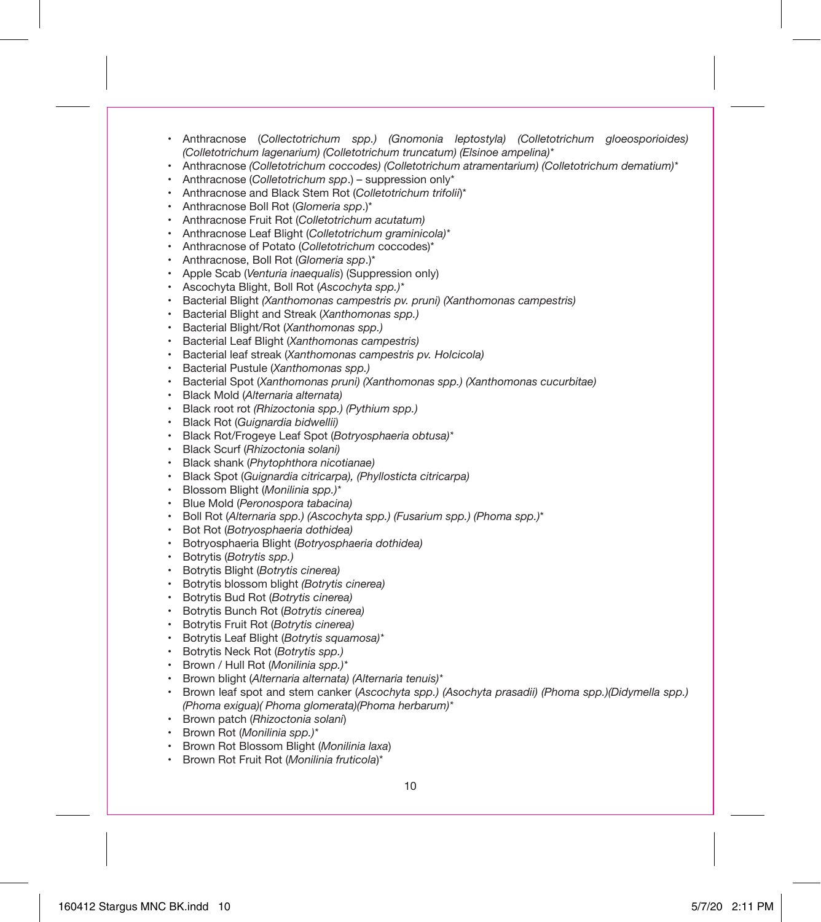- Anthracnose (*Collectotrichum spp.) (Gnomonia leptostyla) (Colletotrichum gloeosporioides) (Colletotrichum lagenarium) (Colletotrichum truncatum) (Elsinoe ampelina)\**
- Anthracnose *(Colletotrichum coccodes) (Colletotrichum atramentarium) (Colletotrichum dematium)\**
- Anthracnose (*Colletotrichum spp*.) suppression only\*
- Anthracnose and Black Stem Rot (*Colletotrichum trifolii*)\*
- Anthracnose Boll Rot (*Glomeria spp*.)\*
- Anthracnose Fruit Rot (*Colletotrichum acutatum)*
- Anthracnose Leaf Blight (*Colletotrichum graminicola)\**
- Anthracnose of Potato (*Colletotrichum* coccodes)\*
- Anthracnose, Boll Rot (*Glomeria spp*.)\*
- Apple Scab (*Venturia inaequalis*) (Suppression only)
- Ascochyta Blight, Boll Rot (*Ascochyta spp.)\**
- Bacterial Blight *(Xanthomonas campestris pv. pruni) (Xanthomonas campestris)*
- Bacterial Blight and Streak (*Xanthomonas spp.)*
- Bacterial Blight/Rot (*Xanthomonas spp.)*
- Bacterial Leaf Blight (*Xanthomonas campestris)*
- Bacterial leaf streak (*Xanthomonas campestris pv. Holcicola)*
- Bacterial Pustule (*Xanthomonas spp.)*
- Bacterial Spot (*Xanthomonas pruni) (Xanthomonas spp.) (Xanthomonas cucurbitae)*
- Black Mold (*Alternaria alternata)*
- Black root rot *(Rhizoctonia spp.) (Pythium spp.)*
- Black Rot (*Guignardia bidwellii)*
- Black Rot/Frogeye Leaf Spot (*Botryosphaeria obtusa)\**
- Black Scurf (*Rhizoctonia solani)*
- Black shank (*Phytophthora nicotianae)*
- Black Spot (*Guignardia citricarpa), (Phyllosticta citricarpa)*
- Blossom Blight (*Monilinia spp.)\**
- Blue Mold (*Peronospora tabacina)*
- Boll Rot (*Alternaria spp.) (Ascochyta spp.) (Fusarium spp.) (Phoma spp.)*\*
- Bot Rot (*Botryosphaeria dothidea)*
- Botryosphaeria Blight (*Botryosphaeria dothidea)*
- Botrytis (*Botrytis spp.)*
- Botrytis Blight (*Botrytis cinerea)*
- Botrytis blossom blight *(Botrytis cinerea)*
- Botrytis Bud Rot (*Botrytis cinerea)*
- Botrytis Bunch Rot (*Botrytis cinerea)*
- Botrytis Fruit Rot (*Botrytis cinerea)*
- Botrytis Leaf Blight (*Botrytis squamosa)\**
- Botrytis Neck Rot (*Botrytis spp.)*
- Brown / Hull Rot (*Monilinia spp.)\**
- Brown blight (*Alternaria alternata) (Alternaria tenuis)\**
- Brown leaf spot and stem canker (*Ascochyta spp.) (Asochyta prasadii) (Phoma spp.)(Didymella spp.) (Phoma exigua)( Phoma glomerata)(Phoma herbarum)\**
- Brown patch (*Rhizoctonia solani*)
- Brown Rot (*Monilinia spp.)\**
- Brown Rot Blossom Blight (*Monilinia laxa*)
- Brown Rot Fruit Rot (*Monilinia fruticola*)\*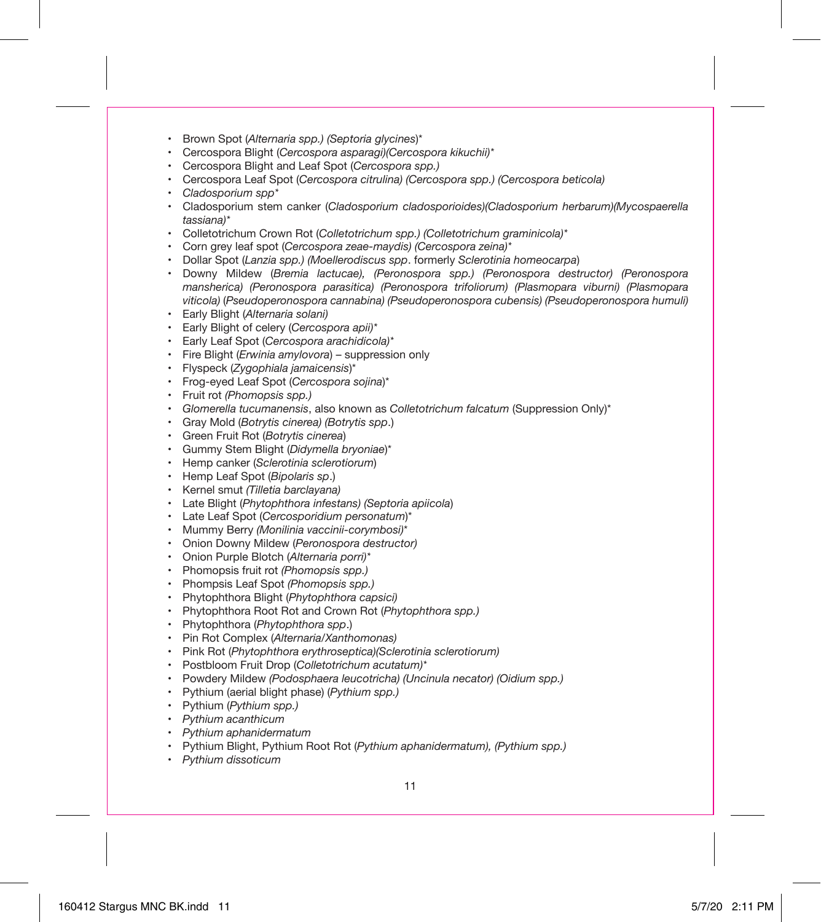- Brown Spot (*Alternaria spp.) (Septoria glycines*)\*
- Cercospora Blight (*Cercospora asparagi)(Cercospora kikuchii)\**
- Cercospora Blight and Leaf Spot (*Cercospora spp.)*
- Cercospora Leaf Spot (*Cercospora citrulina) (Cercospora spp.) (Cercospora beticola)*
- *Cladosporium spp\**
- Cladosporium stem canker (*Cladosporium cladosporioides)(Cladosporium herbarum)(Mycospaerella tassiana)\**
- Colletotrichum Crown Rot (*Colletotrichum spp.) (Colletotrichum graminicola)\**
- Corn grey leaf spot (*Cercospora zeae-maydis) (Cercospora zeina)\**
- Dollar Spot (*Lanzia spp.) (Moellerodiscus spp*. formerly *Sclerotinia homeocarpa*)
- Downy Mildew (*Bremia lactucae), (Peronospora spp.) (Peronospora destructor) (Peronospora mansherica) (Peronospora parasitica) (Peronospora trifoliorum) (Plasmopara viburni) (Plasmopara viticola)* (*Pseudoperonospora cannabina) (Pseudoperonospora cubensis) (Pseudoperonospora humuli)*
- Early Blight (*Alternaria solani)*
- Early Blight of celery (*Cercospora apii)\**
- Early Leaf Spot (*Cercospora arachidicola)\**
- Fire Blight (*Erwinia amylovora*) suppression only
- Flyspeck (*Zygophiala jamaicensis*)\*
- Frog-eyed Leaf Spot (*Cercospora sojina*)\*
- Fruit rot *(Phomopsis spp.)*
- *Glomerella tucumanensis*, also known as *Colletotrichum falcatum* (Suppression Only)\*
- Gray Mold (*Botrytis cinerea) (Botrytis spp*.)
- Green Fruit Rot (*Botrytis cinerea*)
- Gummy Stem Blight (*Didymella bryoniae*)\*
- Hemp canker (*Sclerotinia sclerotiorum*)
- Hemp Leaf Spot (*Bipolaris sp*.)
- Kernel smut *(Tilletia barclayana)*
- Late Blight (*Phytophthora infestans) (Septoria apiicola*)
- Late Leaf Spot (*Cercosporidium personatum*)\*
- Mummy Berry *(Monilinia vaccinii-corymbosi)*\*
- Onion Downy Mildew (*Peronospora destructor)*
- Onion Purple Blotch (*Alternaria porri)\**
- Phomopsis fruit rot *(Phomopsis spp.)*
- Phompsis Leaf Spot *(Phomopsis spp.)*
- Phytophthora Blight (*Phytophthora capsici)*
- Phytophthora Root Rot and Crown Rot (*Phytophthora spp.)*
- Phytophthora (*Phytophthora spp*.)
- Pin Rot Complex (*Alternaria/Xanthomonas)*
- Pink Rot (*Phytophthora erythroseptica)(Sclerotinia sclerotiorum)*
- Postbloom Fruit Drop (*Colletotrichum acutatum)\**
- Powdery Mildew *(Podosphaera leucotricha) (Uncinula necator) (Oidium spp.)*
- Pythium (aerial blight phase) (*Pythium spp.)*
- Pythium (*Pythium spp.)*
- *Pythium acanthicum*
- *Pythium aphanidermatum*
- Pythium Blight, Pythium Root Rot (*Pythium aphanidermatum), (Pythium spp.)*
- *Pythium dissoticum*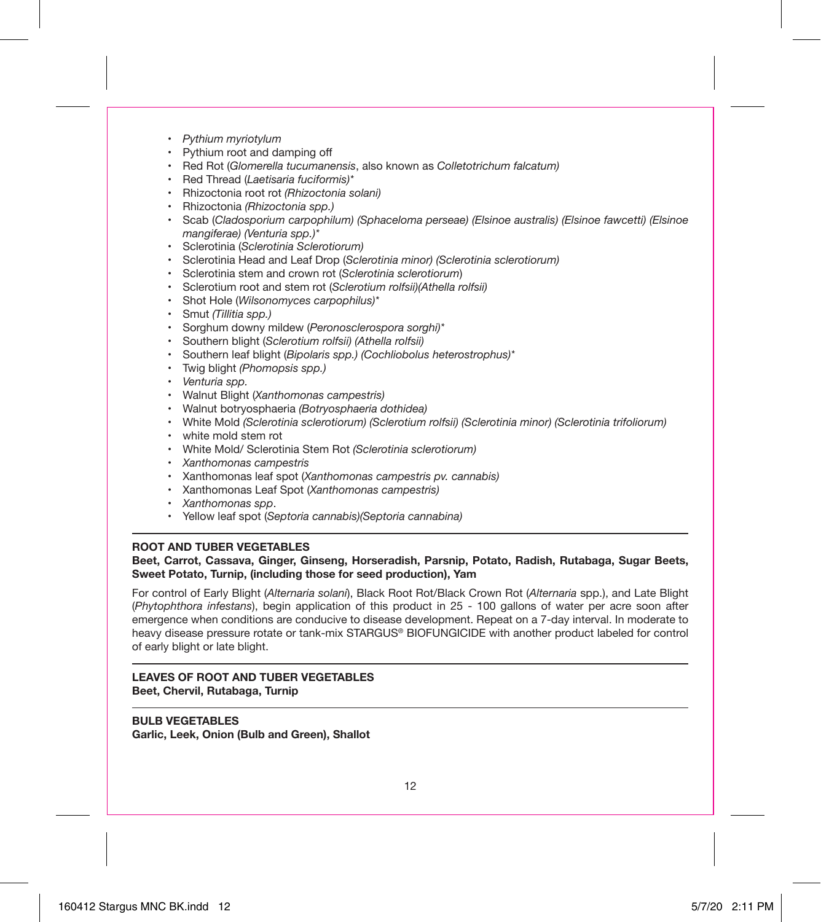- *Pythium myriotylum*
- Pythium root and damping off
- Red Rot (*Glomerella tucumanensis*, also known as *Colletotrichum falcatum)*
- Red Thread (*Laetisaria fuciformis)\**
- Rhizoctonia root rot *(Rhizoctonia solani)*
- Rhizoctonia *(Rhizoctonia spp.)*
- Scab (*Cladosporium carpophilum) (Sphaceloma perseae) (Elsinoe australis) (Elsinoe fawcetti) (Elsinoe mangiferae) (Venturia spp.)\**
- Sclerotinia (*Sclerotinia Sclerotiorum)*
- Sclerotinia Head and Leaf Drop (*Sclerotinia minor) (Sclerotinia sclerotiorum)*
- Sclerotinia stem and crown rot (*Sclerotinia sclerotiorum*)
- Sclerotium root and stem rot (*Sclerotium rolfsii)(Athella rolfsii)*
- Shot Hole (*Wilsonomyces carpophilus)\**
- Smut *(Tillitia spp.)*
- Sorghum downy mildew (*Peronosclerospora sorghi)\**
- Southern blight (*Sclerotium rolfsii) (Athella rolfsii)*
- Southern leaf blight (*Bipolaris spp.) (Cochliobolus heterostrophus)\**
- Twig blight *(Phomopsis spp.)*
- *Venturia spp.*
- Walnut Blight (*Xanthomonas campestris)*
- Walnut botryosphaeria *(Botryosphaeria dothidea)*
- White Mold *(Sclerotinia sclerotiorum) (Sclerotium rolfsii) (Sclerotinia minor) (Sclerotinia trifoliorum)*
- white mold stem rot
- White Mold/ Sclerotinia Stem Rot *(Sclerotinia sclerotiorum)*
- *Xanthomonas campestris*
- Xanthomonas leaf spot (*Xanthomonas campestris pv. cannabis)*
- Xanthomonas Leaf Spot (*Xanthomonas campestris)*
- *Xanthomonas spp*.
- Yellow leaf spot (*Septoria cannabis)(Septoria cannabina)*

#### **ROOT AND TUBER VEGETABLES**

#### **Beet, Carrot, Cassava, Ginger, Ginseng, Horseradish, Parsnip, Potato, Radish, Rutabaga, Sugar Beets, Sweet Potato, Turnip, (including those for seed production), Yam**

For control of Early Blight (*Alternaria solani*), Black Root Rot/Black Crown Rot (*Alternaria* spp.), and Late Blight (*Phytophthora infestans*), begin application of this product in 25 - 100 gallons of water per acre soon after emergence when conditions are conducive to disease development. Repeat on a 7-day interval. In moderate to heavy disease pressure rotate or tank-mix STARGUS® BIOFUNGICIDE with another product labeled for control of early blight or late blight.

#### **LEAVES OF ROOT AND TUBER VEGETABLES Beet, Chervil, Rutabaga, Turnip**

**BULB VEGETABLES Garlic, Leek, Onion (Bulb and Green), Shallot**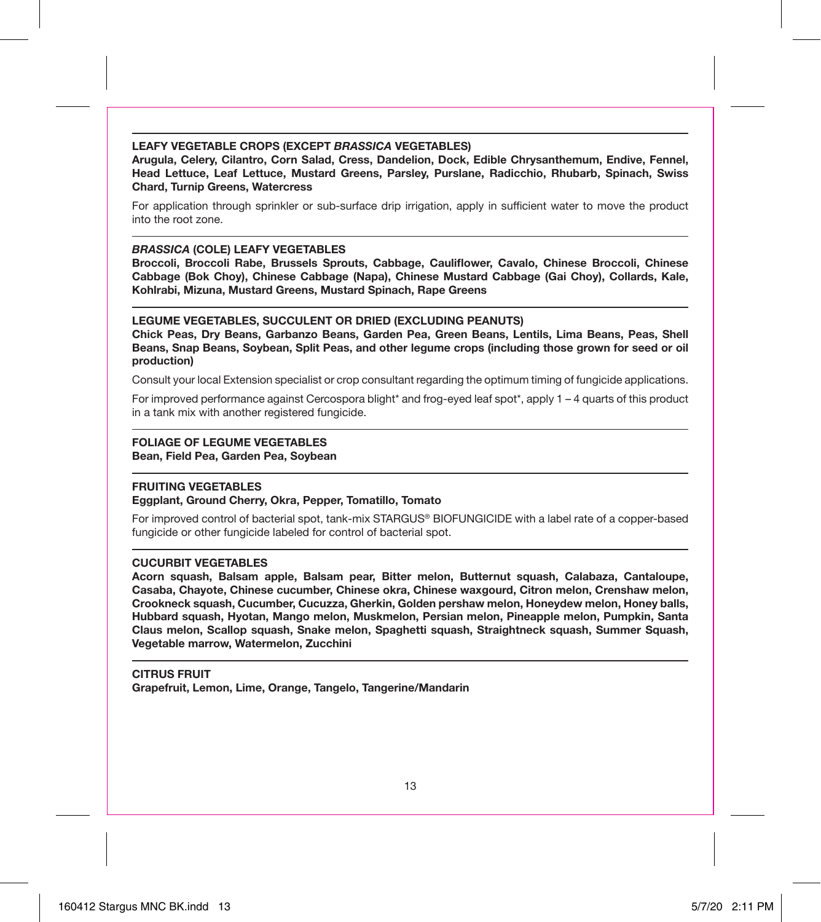#### **LEAFY VEGETABLE CROPS (EXCEPT** *BRASSICA* **VEGETABLES)**

**Arugula, Celery, Cilantro, Corn Salad, Cress, Dandelion, Dock, Edible Chrysanthemum, Endive, Fennel, Head Lettuce, Leaf Lettuce, Mustard Greens, Parsley, Purslane, Radicchio, Rhubarb, Spinach, Swiss Chard, Turnip Greens, Watercress**

For application through sprinkler or sub-surface drip irrigation, apply in sufficient water to move the product into the root zone.

#### *BRASSICA* **(COLE) LEAFY VEGETABLES**

**Broccoli, Broccoli Rabe, Brussels Sprouts, Cabbage, Cauliflower, Cavalo, Chinese Broccoli, Chinese Cabbage (Bok Choy), Chinese Cabbage (Napa), Chinese Mustard Cabbage (Gai Choy), Collards, Kale, Kohlrabi, Mizuna, Mustard Greens, Mustard Spinach, Rape Greens**

#### **LEGUME VEGETABLES, SUCCULENT OR DRIED (EXCLUDING PEANUTS)**

**Chick Peas, Dry Beans, Garbanzo Beans, Garden Pea, Green Beans, Lentils, Lima Beans, Peas, Shell Beans, Snap Beans, Soybean, Split Peas, and other legume crops (including those grown for seed or oil production)**

Consult your local Extension specialist or crop consultant regarding the optimum timing of fungicide applications.

For improved performance against Cercospora blight\* and frog-eyed leaf spot\*, apply 1 – 4 quarts of this product in a tank mix with another registered fungicide.

#### **FOLIAGE OF LEGUME VEGETABLES**

**Bean, Field Pea, Garden Pea, Soybean**

#### **FRUITING VEGETABLES**

#### **Eggplant, Ground Cherry, Okra, Pepper, Tomatillo, Tomato**

For improved control of bacterial spot, tank-mix STARGUS® BIOFUNGICIDE with a label rate of a copper-based fungicide or other fungicide labeled for control of bacterial spot.

#### **CUCURBIT VEGETABLES**

**Acorn squash, Balsam apple, Balsam pear, Bitter melon, Butternut squash, Calabaza, Cantaloupe, Casaba, Chayote, Chinese cucumber, Chinese okra, Chinese waxgourd, Citron melon, Crenshaw melon, Crookneck squash, Cucumber, Cucuzza, Gherkin, Golden pershaw melon, Honeydew melon, Honey balls, Hubbard squash, Hyotan, Mango melon, Muskmelon, Persian melon, Pineapple melon, Pumpkin, Santa Claus melon, Scallop squash, Snake melon, Spaghetti squash, Straightneck squash, Summer Squash, Vegetable marrow, Watermelon, Zucchini**

#### **CITRUS FRUIT**

**Grapefruit, Lemon, Lime, Orange, Tangelo, Tangerine/Mandarin**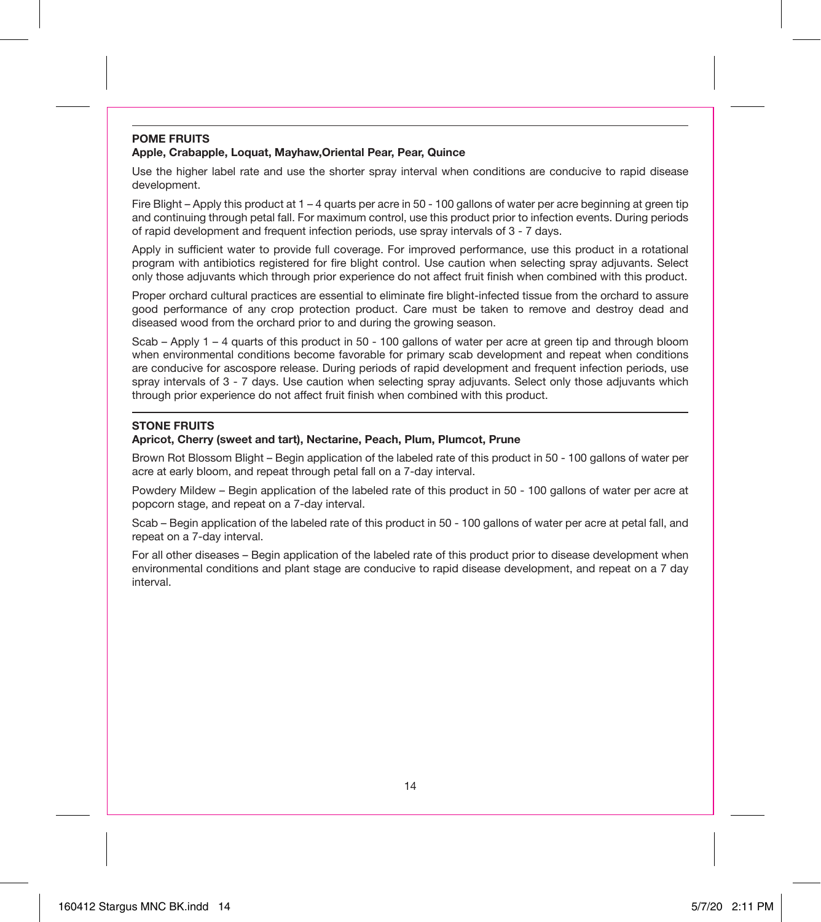#### **POME FRUITS Apple, Crabapple, Loquat, Mayhaw,Oriental Pear, Pear, Quince**

Use the higher label rate and use the shorter spray interval when conditions are conducive to rapid disease development.

Fire Blight – Apply this product at 1 – 4 quarts per acre in 50 - 100 gallons of water per acre beginning at green tip and continuing through petal fall. For maximum control, use this product prior to infection events. During periods of rapid development and frequent infection periods, use spray intervals of 3 - 7 days.

Apply in sufficient water to provide full coverage. For improved performance, use this product in a rotational program with antibiotics registered for fire blight control. Use caution when selecting spray adjuvants. Select only those adjuvants which through prior experience do not affect fruit finish when combined with this product.

Proper orchard cultural practices are essential to eliminate fire blight-infected tissue from the orchard to assure good performance of any crop protection product. Care must be taken to remove and destroy dead and diseased wood from the orchard prior to and during the growing season.

Scab – Apply 1 – 4 quarts of this product in 50 - 100 gallons of water per acre at green tip and through bloom when environmental conditions become favorable for primary scab development and repeat when conditions are conducive for ascospore release. During periods of rapid development and frequent infection periods, use spray intervals of 3 - 7 days. Use caution when selecting spray adjuvants. Select only those adjuvants which through prior experience do not affect fruit finish when combined with this product.

#### **STONE FRUITS**

#### **Apricot, Cherry (sweet and tart), Nectarine, Peach, Plum, Plumcot, Prune**

Brown Rot Blossom Blight – Begin application of the labeled rate of this product in 50 - 100 gallons of water per acre at early bloom, and repeat through petal fall on a 7-day interval.

Powdery Mildew – Begin application of the labeled rate of this product in 50 - 100 gallons of water per acre at popcorn stage, and repeat on a 7-day interval.

Scab – Begin application of the labeled rate of this product in 50 - 100 gallons of water per acre at petal fall, and repeat on a 7-day interval.

For all other diseases – Begin application of the labeled rate of this product prior to disease development when environmental conditions and plant stage are conducive to rapid disease development, and repeat on a 7 day interval.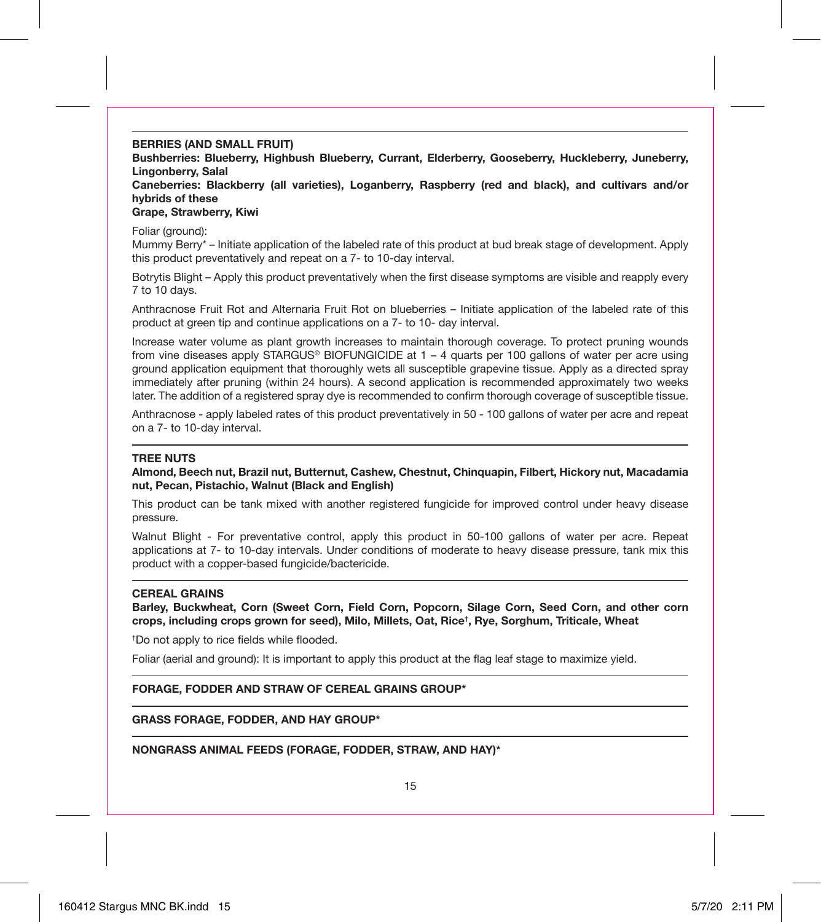**BERRIES (AND SMALL FRUIT)**

**Bushberries: Blueberry, Highbush Blueberry, Currant, Elderberry, Gooseberry, Huckleberry, Juneberry, Lingonberry, Salal**

**Caneberries: Blackberry (all varieties), Loganberry, Raspberry (red and black), and cultivars and/or hybrids of these**

#### **Grape, Strawberry, Kiwi**

Foliar (ground):

Mummy Berry\* – Initiate application of the labeled rate of this product at bud break stage of development. Apply this product preventatively and repeat on a 7- to 10-day interval.

Botrytis Blight – Apply this product preventatively when the first disease symptoms are visible and reapply every 7 to 10 days.

Anthracnose Fruit Rot and Alternaria Fruit Rot on blueberries – Initiate application of the labeled rate of this product at green tip and continue applications on a 7- to 10- day interval.

Increase water volume as plant growth increases to maintain thorough coverage. To protect pruning wounds from vine diseases apply STARGUS® BIOFUNGICIDE at 1 – 4 quarts per 100 gallons of water per acre using ground application equipment that thoroughly wets all susceptible grapevine tissue. Apply as a directed spray immediately after pruning (within 24 hours). A second application is recommended approximately two weeks later. The addition of a registered spray dye is recommended to confirm thorough coverage of susceptible tissue.

Anthracnose - apply labeled rates of this product preventatively in 50 - 100 gallons of water per acre and repeat on a 7- to 10-day interval.

#### **TREE NUTS**

**Almond, Beech nut, Brazil nut, Butternut, Cashew, Chestnut, Chinquapin, Filbert, Hickory nut, Macadamia nut, Pecan, Pistachio, Walnut (Black and English)**

This product can be tank mixed with another registered fungicide for improved control under heavy disease pressure.

Walnut Blight - For preventative control, apply this product in 50-100 gallons of water per acre. Repeat applications at 7- to 10-day intervals. Under conditions of moderate to heavy disease pressure, tank mix this product with a copper-based fungicide/bactericide.

#### **CEREAL GRAINS**

**Barley, Buckwheat, Corn (Sweet Corn, Field Corn, Popcorn, Silage Corn, Seed Corn, and other corn crops, including crops grown for seed), Milo, Millets, Oat, Rice† , Rye, Sorghum, Triticale, Wheat**

† Do not apply to rice fields while flooded.

Foliar (aerial and ground): It is important to apply this product at the flag leaf stage to maximize yield.

#### **FORAGE, FODDER AND STRAW OF CEREAL GRAINS GROUP\***

**GRASS FORAGE, FODDER, AND HAY GROUP\***

**NONGRASS ANIMAL FEEDS (FORAGE, FODDER, STRAW, AND HAY)\***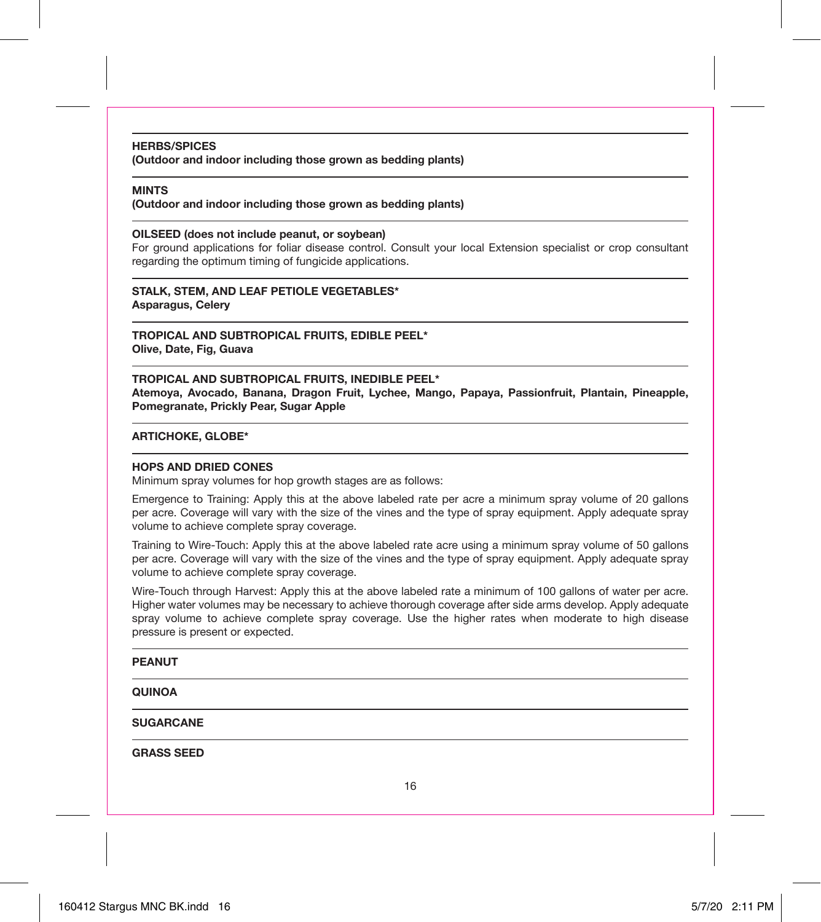#### **HERBS/SPICES**

**(Outdoor and indoor including those grown as bedding plants)**

#### **MINTS**

**(Outdoor and indoor including those grown as bedding plants)**

#### **OILSEED (does not include peanut, or soybean)**

For ground applications for foliar disease control. Consult your local Extension specialist or crop consultant regarding the optimum timing of fungicide applications.

**STALK, STEM, AND LEAF PETIOLE VEGETABLES\* Asparagus, Celery**

**TROPICAL AND SUBTROPICAL FRUITS, EDIBLE PEEL\* Olive, Date, Fig, Guava**

**TROPICAL AND SUBTROPICAL FRUITS, INEDIBLE PEEL\* Atemoya, Avocado, Banana, Dragon Fruit, Lychee, Mango, Papaya, Passionfruit, Plantain, Pineapple, Pomegranate, Prickly Pear, Sugar Apple**

#### **ARTICHOKE, GLOBE\***

#### **HOPS AND DRIED CONES**

Minimum spray volumes for hop growth stages are as follows:

Emergence to Training: Apply this at the above labeled rate per acre a minimum spray volume of 20 gallons per acre. Coverage will vary with the size of the vines and the type of spray equipment. Apply adequate spray volume to achieve complete spray coverage.

Training to Wire-Touch: Apply this at the above labeled rate acre using a minimum spray volume of 50 gallons per acre. Coverage will vary with the size of the vines and the type of spray equipment. Apply adequate spray volume to achieve complete spray coverage.

Wire-Touch through Harvest: Apply this at the above labeled rate a minimum of 100 gallons of water per acre. Higher water volumes may be necessary to achieve thorough coverage after side arms develop. Apply adequate spray volume to achieve complete spray coverage. Use the higher rates when moderate to high disease pressure is present or expected.

#### **PEANUT**

#### **QUINOA**

**SUGARCANE**

**GRASS SEED**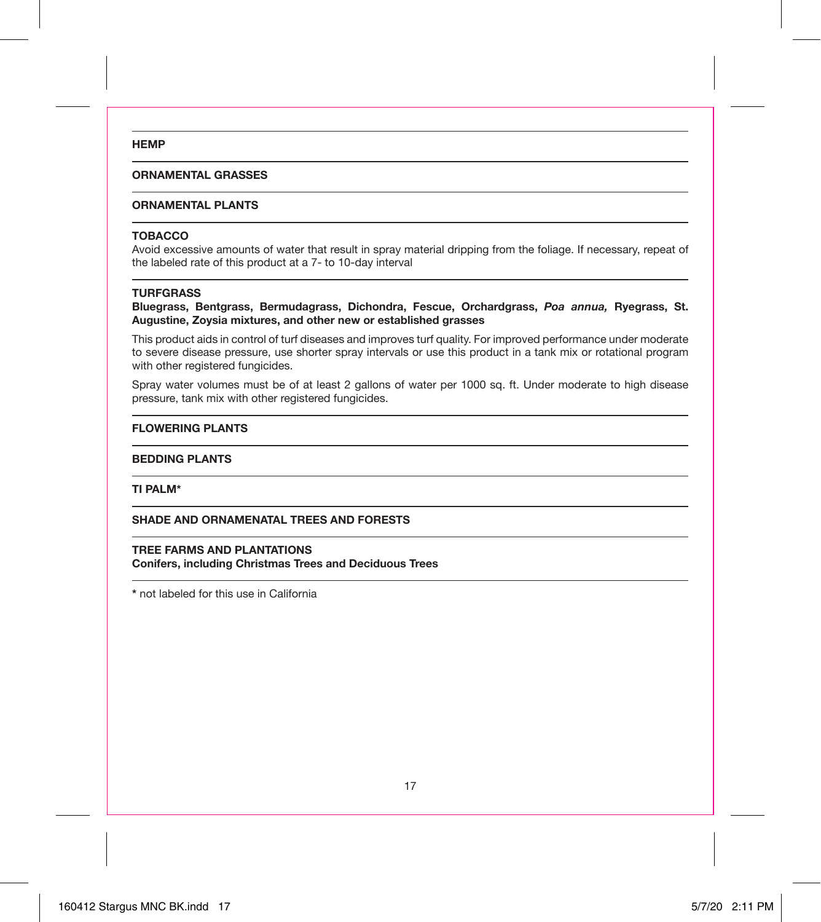#### **HEMP**

#### **ORNAMENTAL GRASSES**

#### **ORNAMENTAL PLANTS**

#### **TOBACCO**

Avoid excessive amounts of water that result in spray material dripping from the foliage. If necessary, repeat of the labeled rate of this product at a 7- to 10-day interval

#### **TURFGRASS**

**Bluegrass, Bentgrass, Bermudagrass, Dichondra, Fescue, Orchardgrass,** *Poa annua,* **Ryegrass, St. Augustine, Zoysia mixtures, and other new or established grasses**

This product aids in control of turf diseases and improves turf quality. For improved performance under moderate to severe disease pressure, use shorter spray intervals or use this product in a tank mix or rotational program with other registered fungicides.

Spray water volumes must be of at least 2 gallons of water per 1000 sq. ft. Under moderate to high disease pressure, tank mix with other registered fungicides.

#### **FLOWERING PLANTS**

#### **BEDDING PLANTS**

**TI PALM\***

**SHADE AND ORNAMENATAL TREES AND FORESTS**

#### **TREE FARMS AND PLANTATIONS**

**Conifers, including Christmas Trees and Deciduous Trees**

**\*** not labeled for this use in California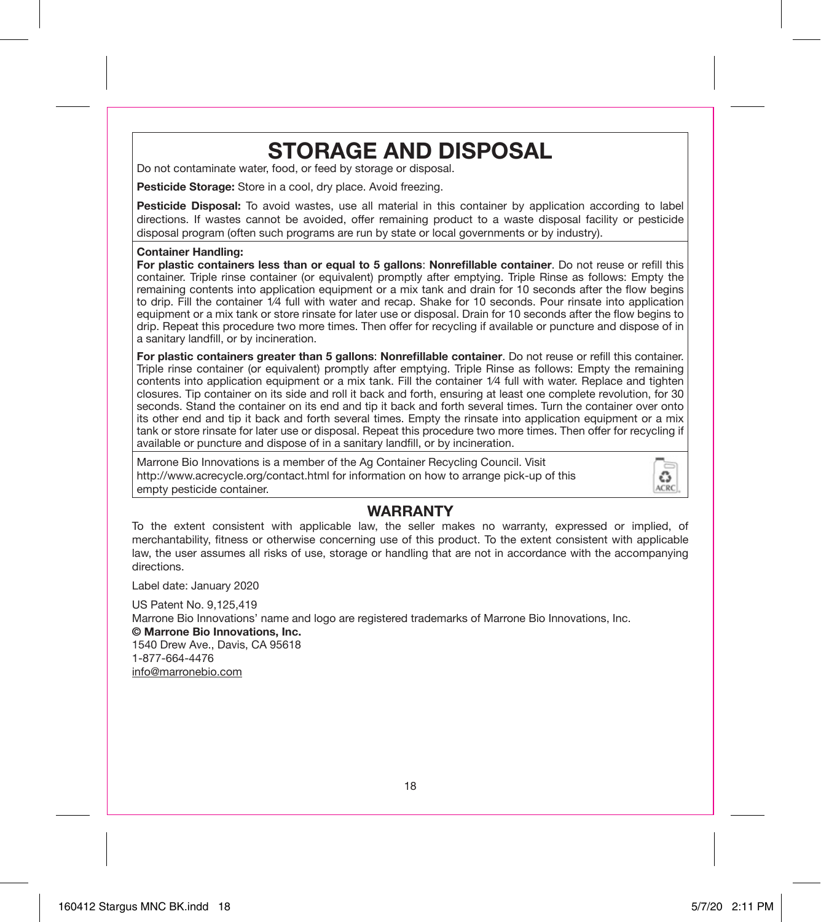## **STORAGE AND DISPOSAL**

Do not contaminate water, food, or feed by storage or disposal.

**Pesticide Storage:** Store in a cool, dry place. Avoid freezing.

**Pesticide Disposal:** To avoid wastes, use all material in this container by application according to label directions. If wastes cannot be avoided, offer remaining product to a waste disposal facility or pesticide disposal program (often such programs are run by state or local governments or by industry).

#### **Container Handling:**

**For plastic containers less than or equal to 5 gallons**: **Nonrefillable container**. Do not reuse or refill this container. Triple rinse container (or equivalent) promptly after emptying. Triple Rinse as follows: Empty the remaining contents into application equipment or a mix tank and drain for 10 seconds after the flow begins to drip. Fill the container 1⁄4 full with water and recap. Shake for 10 seconds. Pour rinsate into application equipment or a mix tank or store rinsate for later use or disposal. Drain for 10 seconds after the flow begins to drip. Repeat this procedure two more times. Then offer for recycling if available or puncture and dispose of in a sanitary landfill, or by incineration.

**For plastic containers greater than 5 gallons**: **Nonrefillable container**. Do not reuse or refill this container. Triple rinse container (or equivalent) promptly after emptying. Triple Rinse as follows: Empty the remaining contents into application equipment or a mix tank. Fill the container 1/4 full with water. Replace and tighten closures. Tip container on its side and roll it back and forth, ensuring at least one complete revolution, for 30 seconds. Stand the container on its end and tip it back and forth several times. Turn the container over onto its other end and tip it back and forth several times. Empty the rinsate into application equipment or a mix tank or store rinsate for later use or disposal. Repeat this procedure two more times. Then offer for recycling if available or puncture and dispose of in a sanitary landfill, or by incineration.

Marrone Bio Innovations is a member of the Ag Container Recycling Council. Visit http://www.acrecycle.org/contact.html for information on how to arrange pick-up of this empty pesticide container.



#### **WARRANTY**

To the extent consistent with applicable law, the seller makes no warranty, expressed or implied, of merchantability, fitness or otherwise concerning use of this product. To the extent consistent with applicable law, the user assumes all risks of use, storage or handling that are not in accordance with the accompanying directions.

Label date: January 2020

US Patent No. 9,125,419

Marrone Bio Innovations' name and logo are registered trademarks of Marrone Bio Innovations, Inc. **© Marrone Bio Innovations, Inc.** 1540 Drew Ave., Davis, CA 95618 1-877-664-4476

info@marronebio.com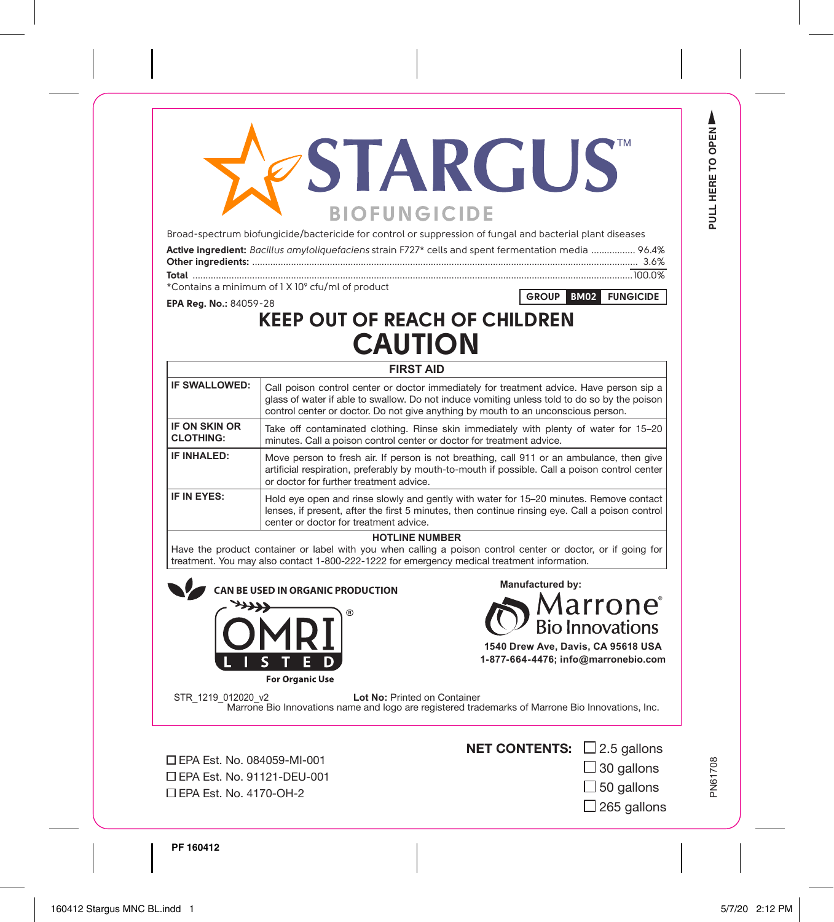# **STARGUS BIOFUNGICIDE**

Broad-spectrum biofungicide/bactericide for control or suppression of fungal and bacterial plant diseases

| Active ingredient: Bacillus amyloliquefaciens strain F727* cells and spent fermentation media  96.4% |  |
|------------------------------------------------------------------------------------------------------|--|
|                                                                                                      |  |
|                                                                                                      |  |

\*Contains a minimum of 1 X 109 cfu/ml of product

**GROUP BM02 FUNGICIDE**

**PULL HERE TO OPEN**

PULL HERE TO OPEN

Δ

### **EPA Reg. No.:** 84059-28 **KEEP OUT OF REACH OF CHILDREN CAUTION**

| <b>FIRST AID</b>                         |                                                                                                                                                                                                                                                                               |  |  |  |
|------------------------------------------|-------------------------------------------------------------------------------------------------------------------------------------------------------------------------------------------------------------------------------------------------------------------------------|--|--|--|
| IF SWALLOWED:                            | Call poison control center or doctor immediately for treatment advice. Have person sip a<br>glass of water if able to swallow. Do not induce vomiting unless told to do so by the poison<br>control center or doctor. Do not give anything by mouth to an unconscious person. |  |  |  |
| <b>IF ON SKIN OR</b><br><b>CLOTHING:</b> | Take off contaminated clothing. Rinse skin immediately with plenty of water for 15–20<br>minutes. Call a poison control center or doctor for treatment advice.                                                                                                                |  |  |  |
| IF INHAI FD:                             | Move person to fresh air. If person is not breathing, call 911 or an ambulance, then give<br>artificial respiration, preferably by mouth-to-mouth if possible. Call a poison control center<br>or doctor for further treatment advice.                                        |  |  |  |
| IF IN FYFS:                              | Hold eve open and rinse slowly and gently with water for 15-20 minutes. Remove contact<br>lenses, if present, after the first 5 minutes, then continue rinsing eye. Call a poison control<br>center or doctor for treatment advice.                                           |  |  |  |

#### **HOTLINE NUMBER**

Have the product container or label with you when calling a poison control center or doctor, or if going for treatment. You may also contact 1-800-222-1222 for emergency medical treatment information.

BE USED IN ORGANIC PRODUCTION<br> **CAN BE USED IN ORGANIC PRODUCTION** 





**1-877-664-4476; info@marronebio.com**

STR 1219 012020 v2 **Lot No:** Printed on Container Marrone Bio Innovations name and logo are registered trademarks of Marrone Bio Innovations, Inc.

 EPA Est. No. 084059-MI-001 EPA Est. No. 91121-DEU-001 EPA Est. No. 4170-OH-2



 $\Box$  30 gallons  $\Box$  50 gallons

 $\Box$  265 gallons

**PF 160412**

PN61708